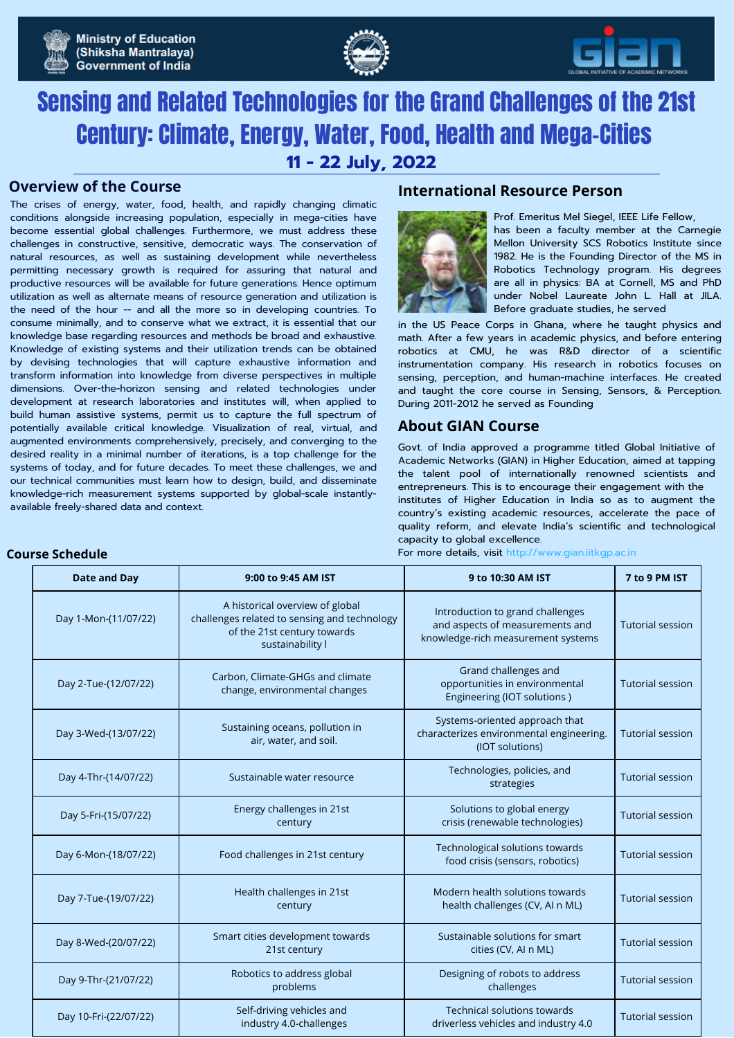





# Sensing and Related Technologies for the Grand Challenges of the 21st Century: Climate, Energy, Water, Food, Health and Mega-Cities **11 - 22 July, 2022**

The crises of energy, water, food, health, and rapidly changing climatic conditions alongside increasing population, especially in mega-cities have become essential global challenges. Furthermore, we must address these challenges in constructive, sensitive, democratic ways. The conservation of natural resources, as well as sustaining development while nevertheless permitting necessary growth is required for assuring that natural and productive resources will be available for future generations. Hence optimum utilization as well as alternate means of resource generation and utilization is the need of the hour -- and all the more so in developing countries. To consume minimally, and to conserve what we extract, it is essential that our knowledge base regarding resources and methods be broad and exhaustive. Knowledge of existing systems and their utilization trends can be obtained by devising technologies that will capture exhaustive information and transform information into knowledge from diverse perspectives in multiple dimensions. Over-the-horizon sensing and related technologies under development at research laboratories and institutes will, when applied to build human assistive systems, permit us to capture the full spectrum of potentially available critical knowledge. Visualization of real, virtual, and augmented environments comprehensively, precisely, and converging to the desired reality in a minimal number of iterations, is a top challenge for the systems of today, and for future decades. To meet these challenges, we and our technical communities must learn how to design, build, and disseminate knowledge-rich measurement systems supported by global-scale instantlyavailable freely-shared data and context.

## **Overview of the Course International Resource Person**



Prof. Emeritus Mel Siegel, IEEE Life Fellow, has been a faculty member at the Carnegie Mellon University SCS Robotics Institute since 1982. He is the Founding Director of the MS in Robotics Technology program. His degrees are all in physics: BA at Cornell, MS and PhD under Nobel Laureate John L. Hall at JILA.

in the US Peace Corps in Ghana, where he taught physics and math. After a few years in academic physics, and before entering robotics at CMU, he was R&D director of a scientific instrumentation company. His research in robotics focuses on sensing, perception, and human-machine interfaces. He created and taught the core course in Sensing, Sensors, & Perception. During 2011-2012 he served as Founding

Before graduate studies, he served

## **About GIAN Course**

Govt. of India approved a programme titled Global Initiative of Academic Networks (GIAN) in Higher Education, aimed at tapping the talent pool of internationally renowned scientists and entrepreneurs. This is to encourage their engagement with the institutes of Higher Education in India so as to augment the country's existing academic resources, accelerate the pace of quality reform, and elevate India's scientific and technological capacity to global excellence.

For more details, visit http://www.gian.iitkgp.ac.in

| <b>Date and Day</b>   | 9:00 to 9:45 AM IST                                                                                                                | 9 to 10:30 AM IST                                                                                         | 7 to 9 PM IST           |
|-----------------------|------------------------------------------------------------------------------------------------------------------------------------|-----------------------------------------------------------------------------------------------------------|-------------------------|
| Day 1-Mon-(11/07/22)  | A historical overview of global<br>challenges related to sensing and technology<br>of the 21st century towards<br>sustainability I | Introduction to grand challenges<br>and aspects of measurements and<br>knowledge-rich measurement systems | <b>Tutorial session</b> |
| Day 2-Tue-(12/07/22)  | Carbon, Climate-GHGs and climate<br>change, environmental changes                                                                  | Grand challenges and<br>opportunities in environmental<br>Engineering (IOT solutions)                     | <b>Tutorial session</b> |
| Day 3-Wed-(13/07/22)  | Sustaining oceans, pollution in<br>air, water, and soil.                                                                           | Systems-oriented approach that<br>characterizes environmental engineering.<br>(IOT solutions)             | <b>Tutorial session</b> |
| Day 4-Thr-(14/07/22)  | Sustainable water resource                                                                                                         | Technologies, policies, and<br>strategies                                                                 | <b>Tutorial session</b> |
| Day 5-Fri-(15/07/22)  | Energy challenges in 21st<br>century                                                                                               | Solutions to global energy<br>crisis (renewable technologies)                                             | <b>Tutorial session</b> |
| Day 6-Mon-(18/07/22)  | Food challenges in 21st century                                                                                                    | Technological solutions towards<br>food crisis (sensors, robotics)                                        | <b>Tutorial session</b> |
| Day 7-Tue-(19/07/22)  | Health challenges in 21st<br>century                                                                                               | Modern health solutions towards<br>health challenges (CV, AI n ML)                                        | <b>Tutorial session</b> |
| Day 8-Wed-(20/07/22)  | Smart cities development towards<br>21st century                                                                                   | Sustainable solutions for smart<br>cities (CV, AI n ML)                                                   | <b>Tutorial session</b> |
| Day 9-Thr-(21/07/22)  | Robotics to address global<br>problems                                                                                             | Designing of robots to address<br>challenges                                                              | <b>Tutorial session</b> |
| Day 10-Fri-(22/07/22) | Self-driving vehicles and<br>industry 4.0-challenges                                                                               | Technical solutions towards<br>driverless vehicles and industry 4.0                                       | <b>Tutorial session</b> |

## **Course Schedule**